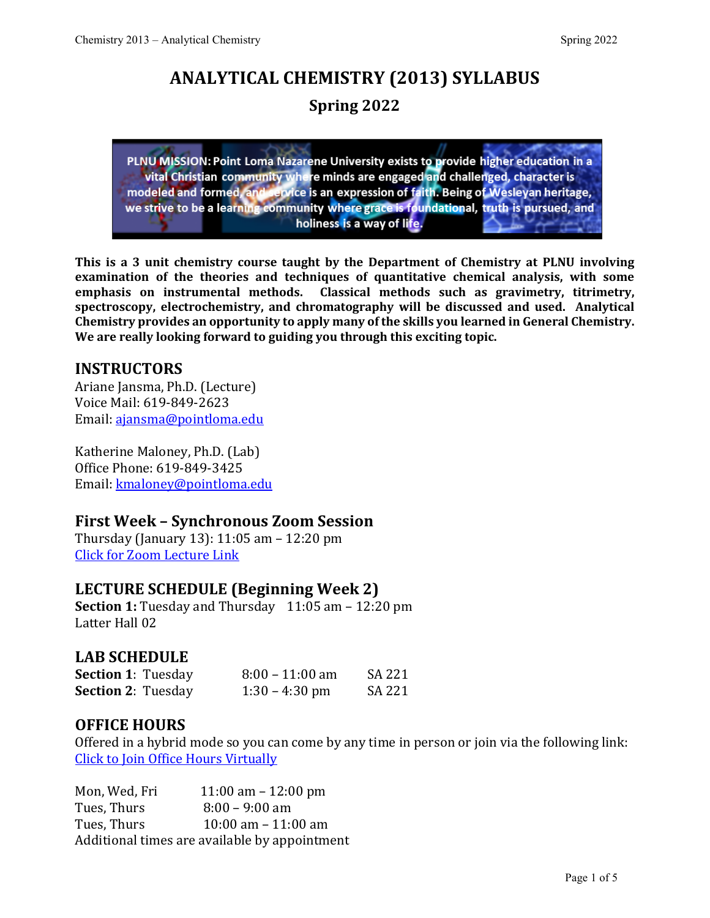# **ANALYTICAL CHEMISTRY (2013) SYLLABUS Spring 2022**

PLNU MISSION: Point Loma Nazarene University exists to provide higher education in a vital Christian community where minds are engaged and challenged, character is modeled and formed, and service is an expression of faith. Being of Wesleyan heritage, we strive to be a learning community where grace is foundational, truth is pursued, and holiness is a way of life.

**This is a 3 unit chemistry course taught by the Department of Chemistry at PLNU involving examination of the theories and techniques of quantitative chemical analysis, with some emphasis on instrumental methods. Classical methods such as gravimetry, titrimetry, spectroscopy, electrochemistry, and chromatography will be discussed and used. Analytical Chemistry provides an opportunity to apply many of the skills you learned in General Chemistry. We are really looking forward to guiding you through this exciting topic.**

## **INSTRUCTORS**

Ariane Jansma, Ph.D. (Lecture) Voice Mail: 619-849-2623 Email: [ajansma@pointloma.edu](mailto:ajansma@pointloma.edu)

Katherine Maloney, Ph.D. (Lab) Office Phone: 619-849-3425 Email: [kmaloney@pointloma.edu](mailto:kmaloney@pointloma.edu)

## **First Week – Synchronous Zoom Session**

Thursday (January 13): 11:05 am – 12:20 pm [Click for Zoom Lecture Link](https://pointloma.zoom.us/j/96361396346)

## **LECTURE SCHEDULE (Beginning Week 2)**

**Section 1:** Tuesday and Thursday 11:05 am - 12:20 pm Latter Hall 02

## **LAB SCHEDULE**

| <b>Section 1: Tuesday</b> | $8:00 - 11:00$ am | SA 221 |
|---------------------------|-------------------|--------|
| <b>Section 2: Tuesday</b> | $1:30 - 4:30$ pm  | SA 221 |

## **OFFICE HOURS**

Offered in a hybrid mode so you can come by any time in person or join via the following link: Click to [Join Office Hours Virtually](https://pointloma.zoom.us/j/97243300338)

Mon, Wed, Fri 11:00 am – 12:00 pm<br>Tues, Thurs 8:00 – 9:00 am Tues, Thurs 8:00 – 9:00 am<br>Tues. Thurs 10:00 am – 11:0  $10:00$  am – 11:00 am Additional times are available by appointment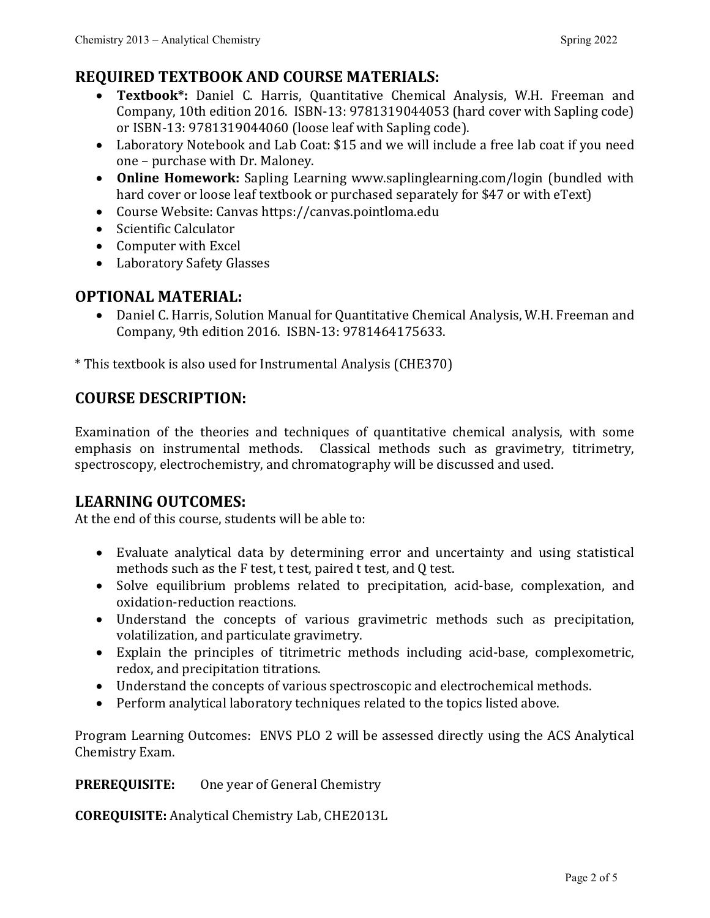# **REQUIRED TEXTBOOK AND COURSE MATERIALS:**

- **Textbook\*:** Daniel C. Harris, Quantitative Chemical Analysis, W.H. Freeman and Company, 10th edition 2016. ISBN-13: 9781319044053 (hard cover with Sapling code) or ISBN-13: 9781319044060 (loose leaf with Sapling code).
- Laboratory Notebook and Lab Coat: \$15 and we will include a free lab coat if you need one – purchase with Dr. Maloney.
- **Online Homework:** Sapling Learning www.saplinglearning.com/login (bundled with hard cover or loose leaf textbook or purchased separately for \$47 or with eText)
- Course Website: Canvas https://canvas.pointloma.edu
- Scientific Calculator
- Computer with Excel
- Laboratory Safety Glasses

## **OPTIONAL MATERIAL:**

• Daniel C. Harris, Solution Manual for Quantitative Chemical Analysis, W.H. Freeman and Company, 9th edition 2016. ISBN-13: 9781464175633.

\* This textbook is also used for Instrumental Analysis (CHE370)

## **COURSE DESCRIPTION:**

Examination of the theories and techniques of quantitative chemical analysis, with some emphasis on instrumental methods. Classical methods such as gravimetry, titrimetry, spectroscopy, electrochemistry, and chromatography will be discussed and used.

## **LEARNING OUTCOMES:**

At the end of this course, students will be able to:

- Evaluate analytical data by determining error and uncertainty and using statistical methods such as the F test, t test, paired t test, and Q test.
- Solve equilibrium problems related to precipitation, acid-base, complexation, and oxidation-reduction reactions.
- Understand the concepts of various gravimetric methods such as precipitation, volatilization, and particulate gravimetry.
- Explain the principles of titrimetric methods including acid-base, complexometric, redox, and precipitation titrations.
- Understand the concepts of various spectroscopic and electrochemical methods.
- Perform analytical laboratory techniques related to the topics listed above.

Program Learning Outcomes: ENVS PLO 2 will be assessed directly using the ACS Analytical Chemistry Exam.

**PREREQUISITE:** One year of General Chemistry

**COREQUISITE:** Analytical Chemistry Lab, CHE2013L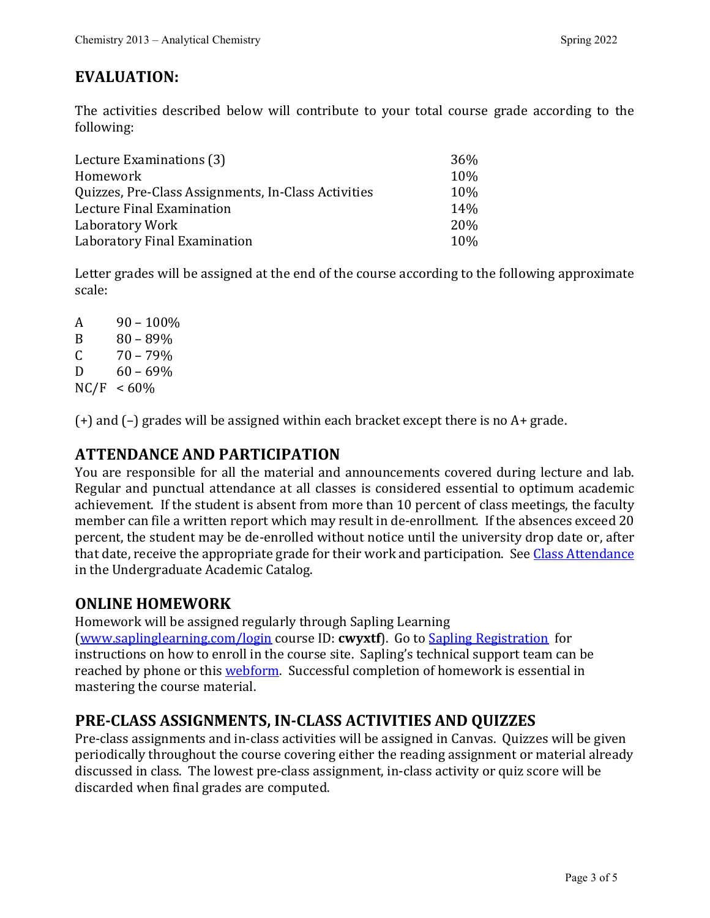## **EVALUATION:**

The activities described below will contribute to your total course grade according to the following:

| Lecture Examinations (3)                            | 36%             |
|-----------------------------------------------------|-----------------|
| Homework                                            | 10%             |
| Quizzes, Pre-Class Assignments, In-Class Activities | 10%             |
| Lecture Final Examination                           | 14%             |
| Laboratory Work                                     | 20 <sub>%</sub> |
| Laboratory Final Examination                        | 10 <sub>%</sub> |

Letter grades will be assigned at the end of the course according to the following approximate scale:

 $\begin{array}{cc}\nA & 90 - 100\% \\
B & 80 - 89\% \n\end{array}$ B  $80 - 89\%$ <br>C  $70 - 79\%$  $\begin{array}{cc}\n\text{C} & 70 - 79\% \\
\text{D} & 60 - 69\%\n\end{array}$  $60 - 69%$  $NC/F < 60\%$ 

(+) and (–) grades will be assigned within each bracket except there is no A+ grade.

## **ATTENDANCE AND PARTICIPATION**

You are responsible for all the material and announcements covered during lecture and lab. Regular and punctual attendance at all classes is considered essential to optimum academic achievement. If the student is absent from more than 10 percent of class meetings, the faculty member can file a written report which may result in de-enrollment. If the absences exceed 20 percent, the student may be de-enrolled without notice until the university drop date or, after that date, receive the appropriate grade for their work and participation. See [Class Attendance](https://catalog.pointloma.edu/content.php?catoid=35&navoid=2136#Class_Attendance) in the Undergraduate Academic Catalog.

## **ONLINE HOMEWORK**

Homework will be assigned regularly through Sapling Learning [\(www.saplinglearning.com/login](http://www.saplinglearning.com/login) course ID: **cwyxtf**). Go to [Sapling Registration](https://macmillan.force.com/macmillanlearning/s/article/Sapling-Learning-Registering-for-courses) for instructions on how to enroll in the course site. Sapling's technical support team can be reached by phone or this [webform.](https://macmillan.force.com/macmillanlearning/s/) Successful completion of homework is essential in mastering the course material.

## **PRE-CLASS ASSIGNMENTS, IN-CLASS ACTIVITIES AND QUIZZES**

Pre-class assignments and in-class activities will be assigned in Canvas. Quizzes will be given periodically throughout the course covering either the reading assignment or material already discussed in class. The lowest pre-class assignment, in-class activity or quiz score will be discarded when final grades are computed.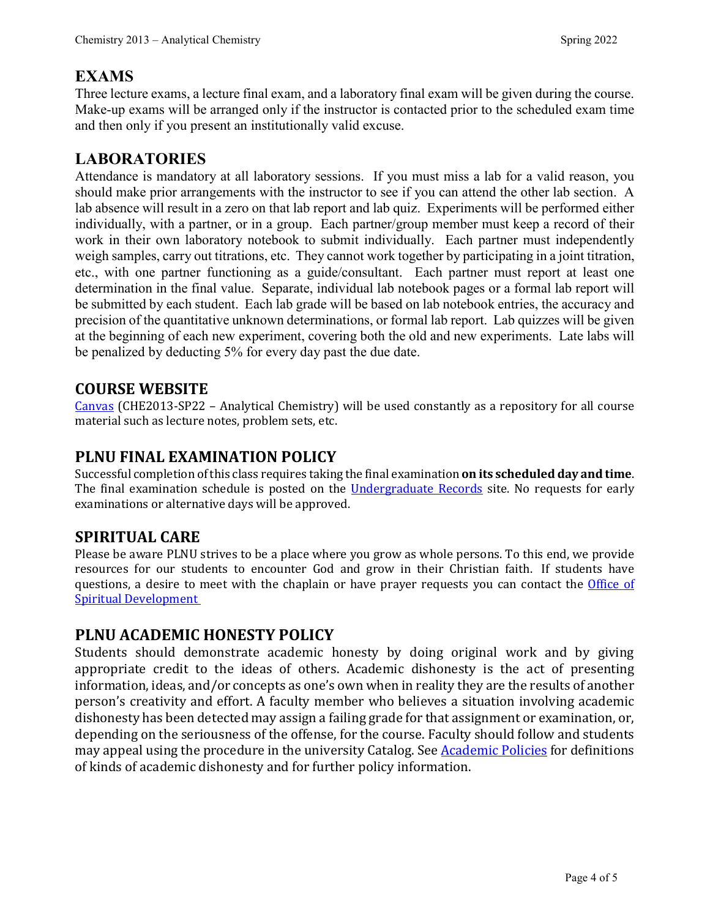## **EXAMS**

Three lecture exams, a lecture final exam, and a laboratory final exam will be given during the course. Make-up exams will be arranged only if the instructor is contacted prior to the scheduled exam time and then only if you present an institutionally valid excuse.

## **LABORATORIES**

Attendance is mandatory at all laboratory sessions. If you must miss a lab for a valid reason, you should make prior arrangements with the instructor to see if you can attend the other lab section. A lab absence will result in a zero on that lab report and lab quiz. Experiments will be performed either individually, with a partner, or in a group. Each partner/group member must keep a record of their work in their own laboratory notebook to submit individually. Each partner must independently weigh samples, carry out titrations, etc. They cannot work together by participating in a joint titration, etc., with one partner functioning as a guide/consultant. Each partner must report at least one determination in the final value. Separate, individual lab notebook pages or a formal lab report will be submitted by each student. Each lab grade will be based on lab notebook entries, the accuracy and precision of the quantitative unknown determinations, or formal lab report. Lab quizzes will be given at the beginning of each new experiment, covering both the old and new experiments. Late labs will be penalized by deducting 5% for every day past the due date.

#### **COURSE WEBSITE**

[Canvas](https://canvas.pointloma.edu/) (CHE2013-SP22 – Analytical Chemistry) will be used constantly as a repository for all course material such as lecture notes, problem sets, etc.

## **PLNU FINAL EXAMINATION POLICY**

Successful completion of this class requires taking the final examination **on its scheduled day and time**. The final examination schedule is posted on the *Undergraduate Records* site. No requests for early examinations or alternative days will be approved.

## **SPIRITUAL CARE**

Please be aware PLNU strives to be a place where you grow as whole persons. To this end, we provide resources for our students to encounter God and grow in their Christian faith. If students have questions, a desire to meet with the chaplain or have prayer requests you can contact the *Office of* [Spiritual Development](https://www.pointloma.edu/offices/spiritual-development)

## **PLNU ACADEMIC HONESTY POLICY**

Students should demonstrate academic honesty by doing original work and by giving appropriate credit to the ideas of others. Academic dishonesty is the act of presenting information, ideas, and/or concepts as one's own when in reality they are the results of another person's creativity and effort. A faculty member who believes a situation involving academic dishonesty has been detected may assign a failing grade for that assignment or examination, or, depending on the seriousness of the offense, for the course. Faculty should follow and students may appeal using the procedure in the university Catalog. See **Academic Policies** for definitions of kinds of academic dishonesty and for further policy information.